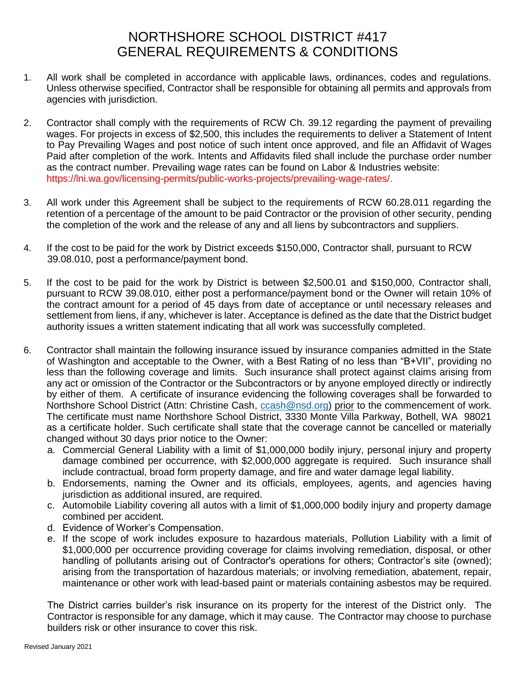## NORTHSHORE SCHOOL DISTRICT #417 GENERAL REQUIREMENTS & CONDITIONS

- 1. All work shall be completed in accordance with applicable laws, ordinances, codes and regulations. Unless otherwise specified, Contractor shall be responsible for obtaining all permits and approvals from agencies with jurisdiction.
- 2. Contractor shall comply with the requirements of RCW Ch. 39.12 regarding the payment of prevailing wages. For projects in excess of \$2,500, this includes the requirements to deliver a Statement of Intent to Pay Prevailing Wages and post notice of such intent once approved, and file an Affidavit of Wages Paid after completion of the work. Intents and Affidavits filed shall include the purchase order number as the contract number. Prevailing wage rates can be found on Labor & Industries website: https://lni.wa.gov/licensing-permits/public-works-projects/prevailing-wage-rates/.
- 3. All work under this Agreement shall be subject to the requirements of RCW 60.28.011 regarding the retention of a percentage of the amount to be paid Contractor or the provision of other security, pending the completion of the work and the release of any and all liens by subcontractors and suppliers.
- 4. If the cost to be paid for the work by District exceeds \$150,000, Contractor shall, pursuant to RCW 39.08.010, post a performance/payment bond.
- 5. If the cost to be paid for the work by District is between \$2,500.01 and \$150,000, Contractor shall, pursuant to RCW 39.08.010, either post a performance/payment bond or the Owner will retain 10% of the contract amount for a period of 45 days from date of acceptance or until necessary releases and settlement from liens, if any, whichever is later. Acceptance is defined as the date that the District budget authority issues a written statement indicating that all work was successfully completed.
- 6. Contractor shall maintain the following insurance issued by insurance companies admitted in the State of Washington and acceptable to the Owner, with a Best Rating of no less than "B+VII", providing no less than the following coverage and limits. Such insurance shall protect against claims arising from any act or omission of the Contractor or the Subcontractors or by anyone employed directly or indirectly by either of them. A certificate of insurance evidencing the following coverages shall be forwarded to Northshore School District (Attn: Christine Cash, [ccash@nsd.org\)](mailto:ccash@nsd.org) prior to the commencement of work. The certificate must name Northshore School District, 3330 Monte Villa Parkway, Bothell, WA 98021 as a certificate holder. Such certificate shall state that the coverage cannot be cancelled or materially changed without 30 days prior notice to the Owner:
	- a. Commercial General Liability with a limit of \$1,000,000 bodily injury, personal injury and property damage combined per occurrence, with \$2,000,000 aggregate is required. Such insurance shall include contractual, broad form property damage, and fire and water damage legal liability.
	- b. Endorsements, naming the Owner and its officials, employees, agents, and agencies having jurisdiction as additional insured, are required.
	- c. Automobile Liability covering all autos with a limit of \$1,000,000 bodily injury and property damage combined per accident.
	- d. Evidence of Worker's Compensation.
	- e. If the scope of work includes exposure to hazardous materials, Pollution Liability with a limit of \$1,000,000 per occurrence providing coverage for claims involving remediation, disposal, or other handling of pollutants arising out of Contractor's operations for others; Contractor's site (owned); arising from the transportation of hazardous materials; or involving remediation, abatement, repair, maintenance or other work with lead-based paint or materials containing asbestos may be required.

The District carries builder's risk insurance on its property for the interest of the District only. The Contractor is responsible for any damage, which it may cause. The Contractor may choose to purchase builders risk or other insurance to cover this risk.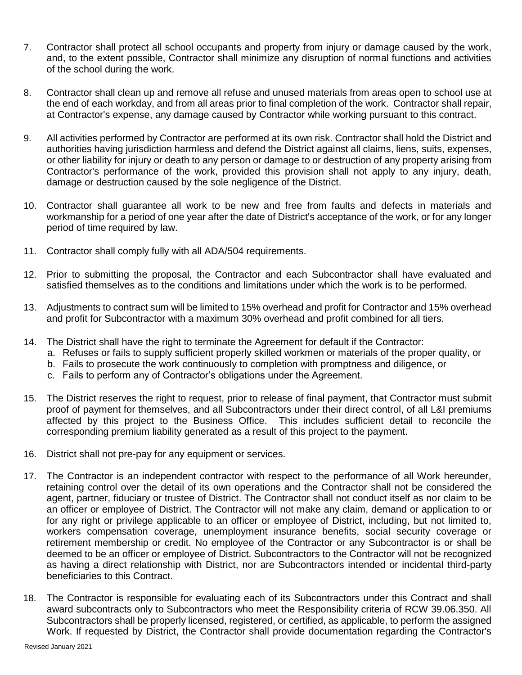- 7. Contractor shall protect all school occupants and property from injury or damage caused by the work, and, to the extent possible, Contractor shall minimize any disruption of normal functions and activities of the school during the work.
- 8. Contractor shall clean up and remove all refuse and unused materials from areas open to school use at the end of each workday, and from all areas prior to final completion of the work. Contractor shall repair, at Contractor's expense, any damage caused by Contractor while working pursuant to this contract.
- 9. All activities performed by Contractor are performed at its own risk. Contractor shall hold the District and authorities having jurisdiction harmless and defend the District against all claims, liens, suits, expenses, or other liability for injury or death to any person or damage to or destruction of any property arising from Contractor's performance of the work, provided this provision shall not apply to any injury, death, damage or destruction caused by the sole negligence of the District.
- 10. Contractor shall guarantee all work to be new and free from faults and defects in materials and workmanship for a period of one year after the date of District's acceptance of the work, or for any longer period of time required by law.
- 11. Contractor shall comply fully with all ADA/504 requirements.
- 12. Prior to submitting the proposal, the Contractor and each Subcontractor shall have evaluated and satisfied themselves as to the conditions and limitations under which the work is to be performed.
- 13. Adjustments to contract sum will be limited to 15% overhead and profit for Contractor and 15% overhead and profit for Subcontractor with a maximum 30% overhead and profit combined for all tiers.
- 14. The District shall have the right to terminate the Agreement for default if the Contractor:
	- a. Refuses or fails to supply sufficient properly skilled workmen or materials of the proper quality, or
	- b. Fails to prosecute the work continuously to completion with promptness and diligence, or
	- c. Fails to perform any of Contractor's obligations under the Agreement.
- 15. The District reserves the right to request, prior to release of final payment, that Contractor must submit proof of payment for themselves, and all Subcontractors under their direct control, of all L&I premiums affected by this project to the Business Office. This includes sufficient detail to reconcile the corresponding premium liability generated as a result of this project to the payment.
- 16. District shall not pre-pay for any equipment or services.
- 17. The Contractor is an independent contractor with respect to the performance of all Work hereunder, retaining control over the detail of its own operations and the Contractor shall not be considered the agent, partner, fiduciary or trustee of District. The Contractor shall not conduct itself as nor claim to be an officer or employee of District. The Contractor will not make any claim, demand or application to or for any right or privilege applicable to an officer or employee of District, including, but not limited to, workers compensation coverage, unemployment insurance benefits, social security coverage or retirement membership or credit. No employee of the Contractor or any Subcontractor is or shall be deemed to be an officer or employee of District. Subcontractors to the Contractor will not be recognized as having a direct relationship with District, nor are Subcontractors intended or incidental third-party beneficiaries to this Contract.
- 18. The Contractor is responsible for evaluating each of its Subcontractors under this Contract and shall award subcontracts only to Subcontractors who meet the Responsibility criteria of RCW 39.06.350. All Subcontractors shall be properly licensed, registered, or certified, as applicable, to perform the assigned Work. If requested by District, the Contractor shall provide documentation regarding the Contractor's